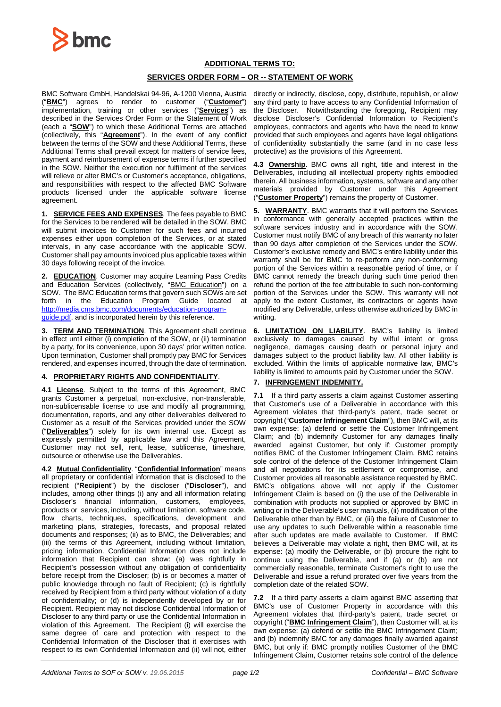

# **ADDITIONAL TERMS TO:**

# **SERVICES ORDER FORM – OR -- STATEMENT OF WORK**

BMC Software GmbH, Handelskai 94-96, A-1200 Vienna, Austria ("**BMC**") agrees to render to customer ("**Customer**") implementation, training or other services ("**Services**") as described in the Services Order Form or the Statement of Work (each a "**SOW**") to which these Additional Terms are attached (collectively, this "**Agreement**"). In the event of any conflict between the terms of the SOW and these Additional Terms, these Additional Terms shall prevail except for matters of service fees, payment and reimbursement of expense terms if further specified in the SOW. Neither the execution nor fulfilment of the services will relieve or alter BMC's or Customer's acceptance, obligations, and responsibilities with respect to the affected BMC Software products licensed under the applicable software license agreement.

**1. SERVICE FEES AND EXPENSES**. The fees payable to BMC for the Services to be rendered will be detailed in the SOW. BMC will submit invoices to Customer for such fees and incurred expenses either upon completion of the Services, or at stated intervals, in any case accordance with the applicable SOW. Customer shall pay amounts invoiced plus applicable taxes within 30 days following receipt of the invoice.

**2. EDUCATION**. Customer may acquire Learning Pass Credits and Education Services (collectively, "BMC Education") on a SOW. The BMC Education terms that govern such SOWs are set forth in the Education Program Guide located at [http://media.cms.bmc.com/documents/education-program](http://media.cms.bmc.com/documents/education-program-guide.pdf)[guide.pdf,](http://media.cms.bmc.com/documents/education-program-guide.pdf) and is incorporated herein by this reference.

**3. TERM AND TERMINATION**. This Agreement shall continue in effect until either (i) completion of the SOW, or (ii) termination by a party, for its convenience, upon 30 days' prior written notice. Upon termination, Customer shall promptly pay BMC for Services rendered, and expenses incurred, through the date of termination.

### **4. PROPRIETARY RIGHTS AND CONFIDENTIALITY**.

**4.1 License**. Subject to the terms of this Agreement, BMC grants Customer a perpetual, non-exclusive, non-transferable, non-sublicensable license to use and modify all programming, documentation, reports, and any other deliverables delivered to Customer as a result of the Services provided under the SOW ("**Deliverables**") solely for its own internal use. Except as expressly permitted by applicable law and this Agreement, Customer may not sell, rent, lease, sublicense, timeshare, outsource or otherwise use the Deliverables.

**4.2 Mutual Confidentiality**. "**Confidential Information**" means all proprietary or confidential information that is disclosed to the recipient ("**Recipient**") by the discloser ("**Discloser**"), and includes, among other things (i) any and all information relating Discloser's financial information, customers, employees, products or services, including, without limitation, software code, flow charts, techniques, specifications, development and marketing plans, strategies, forecasts, and proposal related documents and responses; (ii) as to BMC, the Deliverables; and (iii) the terms of this Agreement, including without limitation, pricing information. Confidential Information does not include information that Recipient can show: (a) was rightfully in Recipient's possession without any obligation of confidentiality before receipt from the Discloser; (b) is or becomes a matter of public knowledge through no fault of Recipient; (c) is rightfully received by Recipient from a third party without violation of a duty of confidentiality; or (d) is independently developed by or for Recipient. Recipient may not disclose Confidential Information of Discloser to any third party or use the Confidential Information in violation of this Agreement. The Recipient (i) will exercise the same degree of care and protection with respect to the Confidential Information of the Discloser that it exercises with respect to its own Confidential Information and (ii) will not, either

directly or indirectly, disclose, copy, distribute, republish, or allow any third party to have access to any Confidential Information of the Discloser. Notwithstanding the foregoing, Recipient may disclose Discloser's Confidential Information to Recipient's employees, contractors and agents who have the need to know provided that such employees and agents have legal obligations of confidentiality substantially the same (and in no case less protective) as the provisions of this Agreement.

**4.3 Ownership**. BMC owns all right, title and interest in the Deliverables, including all intellectual property rights embodied therein. All business information, systems, software and any other materials provided by Customer under this Agreement ("**Customer Property**") remains the property of Customer.

**5. WARRANTY**. BMC warrants that it will perform the Services in conformance with generally accepted practices within the software services industry and in accordance with the SOW. Customer must notify BMC of any breach of this warranty no later than 90 days after completion of the Services under the SOW. Customer's exclusive remedy and BMC's entire liability under this warranty shall be for BMC to re-perform any non-conforming portion of the Services within a reasonable period of time, or if BMC cannot remedy the breach during such time period then refund the portion of the fee attributable to such non-conforming portion of the Services under the SOW. This warranty will not apply to the extent Customer, its contractors or agents have modified any Deliverable, unless otherwise authorized by BMC in writing.

**6. LIMITATION ON LIABILITY**. BMC's liability is limited exclusively to damages caused by wilful intent or gross negligence, damages causing death or personal injury and damages subject to the product liability law. All other liability is excluded. Within the limits of applicable normative law, BMC's liability is limited to amounts paid by Customer under the SOW.

# **7. INFRINGEMENT INDEMNITY.**

**7.1** If a third party asserts a claim against Customer asserting that Customer's use of a Deliverable in accordance with this Agreement violates that third-party's patent, trade secret or copyright ("**Customer Infringement Claim**"), then BMC will, at its own expense: (a) defend or settle the Customer Infringement Claim; and (b) indemnify Customer for any damages finally awarded against Customer, but only if: Customer promptly notifies BMC of the Customer Infringement Claim, BMC retains sole control of the defence of the Customer Infringement Claim and all negotiations for its settlement or compromise, and Customer provides all reasonable assistance requested by BMC. BMC's obligations above will not apply if the Customer Infringement Claim is based on (i) the use of the Deliverable in combination with products not supplied or approved by BMC in writing or in the Deliverable's user manuals, (ii) modification of the Deliverable other than by BMC, or (iii) the failure of Customer to use any updates to such Deliverable within a reasonable time after such updates are made available to Customer. If BMC believes a Deliverable may violate a right, then BMC will, at its expense: (a) modify the Deliverable, or (b) procure the right to continue using the Deliverable, and if (a) or (b) are not commercially reasonable, terminate Customer's right to use the Deliverable and issue a refund prorated over five years from the completion date of the related SOW.

**7.2** If a third party asserts a claim against BMC asserting that BMC's use of Customer Property in accordance with this Agreement violates that third-party's patent, trade secret or copyright ("**BMC Infringement Claim**"), then Customer will, at its own expense: (a) defend or settle the BMC Infringement Claim; and (b) indemnify BMC for any damages finally awarded against BMC, but only if: BMC promptly notifies Customer of the BMC Infringement Claim, Customer retains sole control of the defence